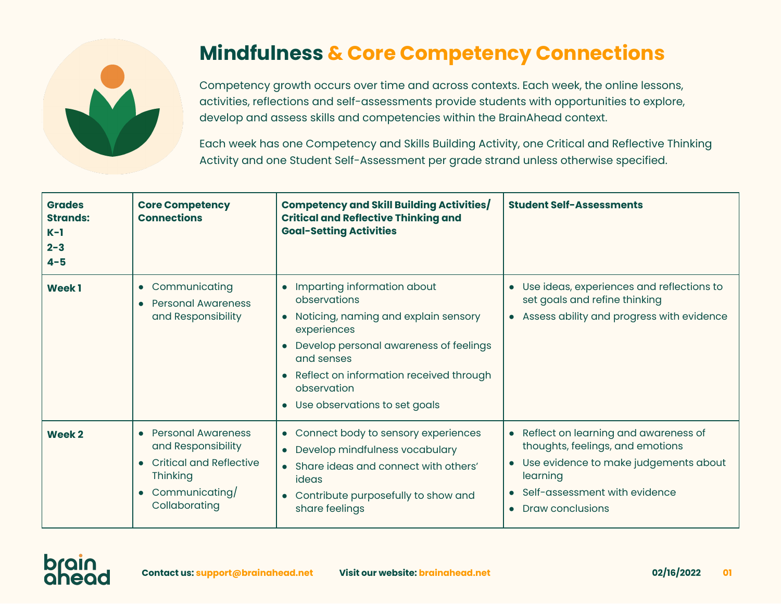

## **Mindfulness & Core Competency Connections**

Competency growth occurs over time and across contexts. Each week, the online lessons, activities, reflections and self-assessments provide students with opportunities to explore, develop and assess skills and competencies within the BrainAhead context.

Each week has one Competency and Skills Building Activity, one Critical and Reflective Thinking Activity and one Student Self-Assessment per grade strand unless otherwise specified.

| <b>Grades</b><br><b>Strands:</b><br>$K-1$<br>$2 - 3$<br>$4 - 5$ | <b>Core Competency</b><br><b>Connections</b>                                                                                                         | <b>Competency and Skill Building Activities/</b><br><b>Critical and Reflective Thinking and</b><br><b>Goal-Setting Activities</b>                                                                                                                             | <b>Student Self-Assessments</b>                                                                                                                                                                              |
|-----------------------------------------------------------------|------------------------------------------------------------------------------------------------------------------------------------------------------|---------------------------------------------------------------------------------------------------------------------------------------------------------------------------------------------------------------------------------------------------------------|--------------------------------------------------------------------------------------------------------------------------------------------------------------------------------------------------------------|
| <b>Week1</b>                                                    | • Communicating<br><b>Personal Awareness</b><br>and Responsibility                                                                                   | Imparting information about<br>observations<br>• Noticing, naming and explain sensory<br>experiences<br>• Develop personal awareness of feelings<br>and senses<br>• Reflect on information received through<br>observation<br>• Use observations to set goals | Use ideas, experiences and reflections to<br>$\bullet$<br>set goals and refine thinking<br>• Assess ability and progress with evidence                                                                       |
| Week <sub>2</sub>                                               | <b>Personal Awareness</b><br>and Responsibility<br><b>Critical and Reflective</b><br><b>Thinking</b><br>Communicating/<br>$\bullet$<br>Collaborating | Connect body to sensory experiences<br>$\bullet$<br>• Develop mindfulness vocabulary<br>• Share ideas and connect with others'<br>ideas<br>Contribute purposefully to show and<br>share feelings                                                              | Reflect on learning and awareness of<br>$\bullet$<br>thoughts, feelings, and emotions<br>Use evidence to make judgements about<br>$\bullet$<br>learning<br>Self-assessment with evidence<br>Draw conclusions |

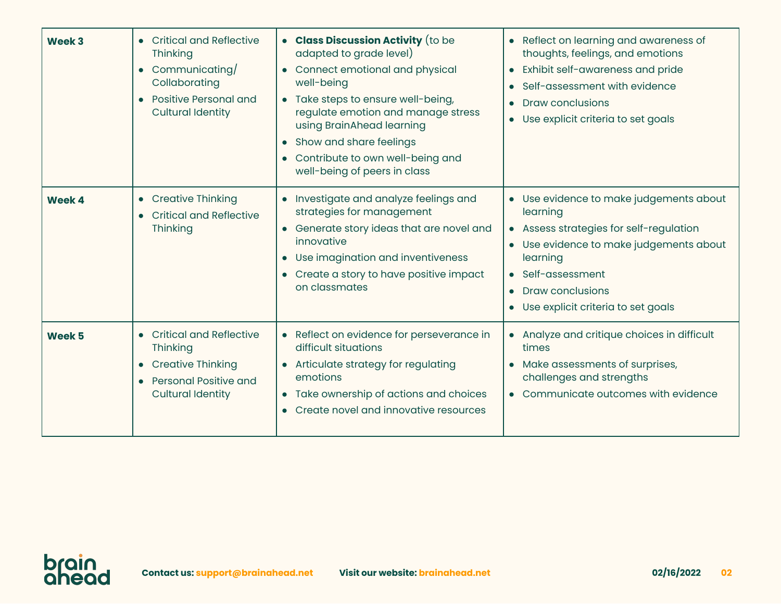| Week 3            | • Critical and Reflective<br>Thinking<br>• Communicating/<br>Collaborating<br>• Positive Personal and<br><b>Cultural Identity</b> | • Class Discussion Activity (to be<br>adapted to grade level)<br>• Connect emotional and physical<br>well-being<br>• Take steps to ensure well-being,<br>regulate emotion and manage stress<br>using BrainAhead learning<br>Show and share feelings<br>Contribute to own well-being and<br>well-being of peers in class | • Reflect on learning and awareness of<br>thoughts, feelings, and emotions<br>Exhibit self-awareness and pride<br>$\bullet$<br>Self-assessment with evidence<br><b>Draw conclusions</b><br>$\bullet$<br>Use explicit criteria to set goals<br>$\bullet$    |
|-------------------|-----------------------------------------------------------------------------------------------------------------------------------|-------------------------------------------------------------------------------------------------------------------------------------------------------------------------------------------------------------------------------------------------------------------------------------------------------------------------|------------------------------------------------------------------------------------------------------------------------------------------------------------------------------------------------------------------------------------------------------------|
| Week 4            | • Creative Thinking<br><b>Critical and Reflective</b><br>Thinking                                                                 | Investigate and analyze feelings and<br>strategies for management<br>Generate story ideas that are novel and<br>innovative<br>Use imagination and inventiveness<br>$\bullet$<br>Create a story to have positive impact<br>on classmates                                                                                 | • Use evidence to make judgements about<br>learning<br>• Assess strategies for self-regulation<br>• Use evidence to make judgements about<br>learning<br>• Self-assessment<br><b>Draw conclusions</b><br>$\bullet$<br>• Use explicit criteria to set goals |
| Week <sub>5</sub> | • Critical and Reflective<br>Thinking<br>• Creative Thinking<br><b>Personal Positive and</b><br><b>Cultural Identity</b>          | Reflect on evidence for perseverance in<br>difficult situations<br>Articulate strategy for regulating<br>emotions<br>• Take ownership of actions and choices<br>Create novel and innovative resources                                                                                                                   | Analyze and critique choices in difficult<br>$\bullet$<br>times<br>Make assessments of surprises,<br>challenges and strengths<br>• Communicate outcomes with evidence                                                                                      |